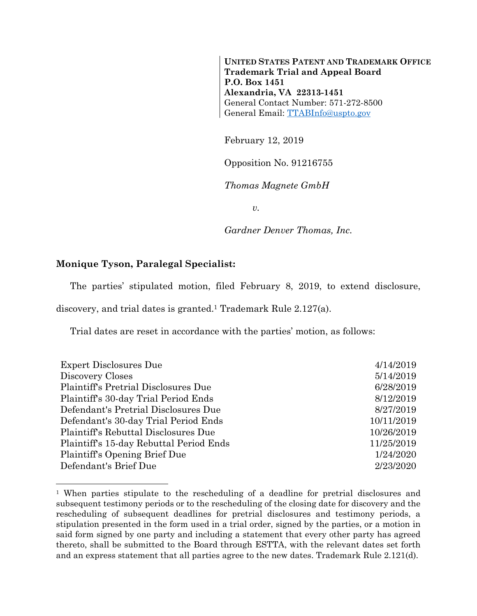**UNITED STATES PATENT AND TRADEMARK OFFICE Trademark Trial and Appeal Board P.O. Box 1451 Alexandria, VA 22313-1451**  General Contact Number: 571-272-8500 General Email: TTABInfo@uspto.gov

February 12, 2019

Opposition No. 91216755

*Thomas Magnete GmbH* 

*v.* 

*Gardner Denver Thomas, Inc.* 

## **Monique Tyson, Paralegal Specialist:**

l

The parties' stipulated motion, filed February 8, 2019, to extend disclosure,

discovery, and trial dates is granted.1 Trademark Rule 2.127(a).

Trial dates are reset in accordance with the parties' motion, as follows:

| <b>Expert Disclosures Due</b>           | 4/14/2019  |
|-----------------------------------------|------------|
| Discovery Closes                        | 5/14/2019  |
| Plaintiff's Pretrial Disclosures Due    | 6/28/2019  |
| Plaintiff's 30-day Trial Period Ends    | 8/12/2019  |
| Defendant's Pretrial Disclosures Due    | 8/27/2019  |
| Defendant's 30-day Trial Period Ends    | 10/11/2019 |
| Plaintiff's Rebuttal Disclosures Due    | 10/26/2019 |
| Plaintiff's 15-day Rebuttal Period Ends | 11/25/2019 |
| Plaintiff's Opening Brief Due           | 1/24/2020  |
| Defendant's Brief Due                   | 2/23/2020  |

<sup>1</sup> When parties stipulate to the rescheduling of a deadline for pretrial disclosures and subsequent testimony periods or to the rescheduling of the closing date for discovery and the rescheduling of subsequent deadlines for pretrial disclosures and testimony periods, a stipulation presented in the form used in a trial order, signed by the parties, or a motion in said form signed by one party and including a statement that every other party has agreed thereto, shall be submitted to the Board through ESTTA, with the relevant dates set forth and an express statement that all parties agree to the new dates. Trademark Rule 2.121(d).